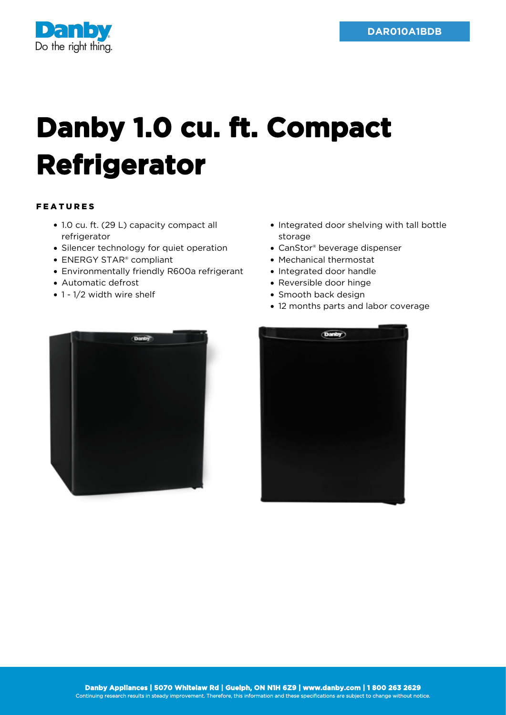

## **Danby 1.0 cu. ft. Compact Refrigerator**

## FEATURES

- 1.0 cu. ft. (29 L) capacity compact all refrigerator
- Silencer technology for quiet operation
- ENERGY STAR® compliant
- Environmentally friendly R600a refrigerant
- Automatic defrost
- 1 1/2 width wire shelf
- Integrated door shelving with tall bottle storage
- CanStor® beverage dispenser
- Mechanical thermostat
- Integrated door handle
- Reversible door hinge
- Smooth back design
- 12 months parts and labor coverage



| (Danby) |  |
|---------|--|
|         |  |
|         |  |
|         |  |
|         |  |
|         |  |
|         |  |
|         |  |
|         |  |
|         |  |
|         |  |
|         |  |
|         |  |
|         |  |
|         |  |
|         |  |
|         |  |
|         |  |
|         |  |